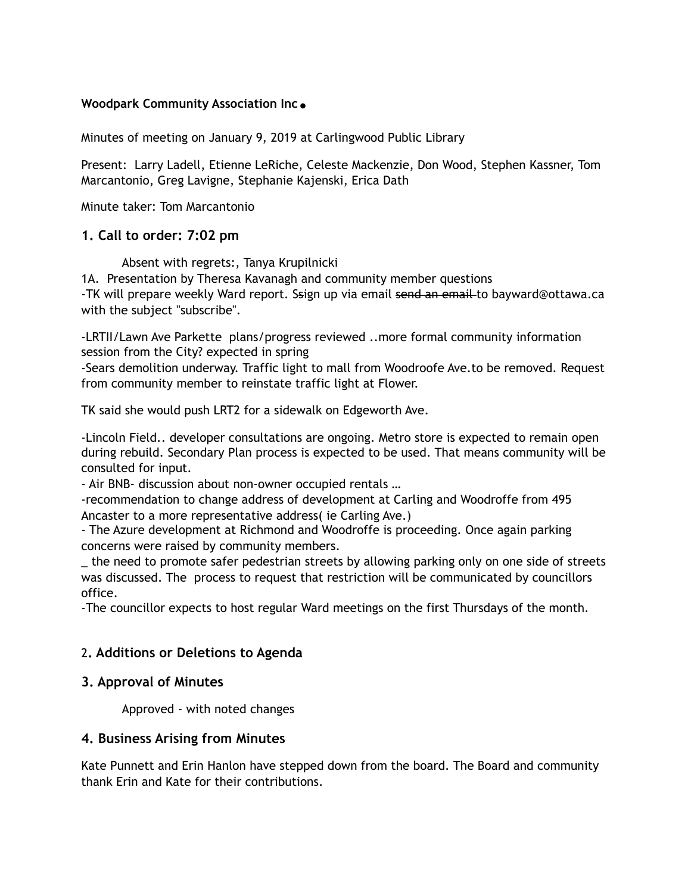## **Woodpark Community Association Inc.**

Minutes of meeting on January 9, 2019 at Carlingwood Public Library

Present: Larry Ladell, Etienne LeRiche, Celeste Mackenzie, Don Wood, Stephen Kassner, Tom Marcantonio, Greg Lavigne, Stephanie Kajenski, Erica Dath

Minute taker: Tom Marcantonio

# **1. Call to order: 7:02 pm**

Absent with regrets:, Tanya Krupilnicki

1A. Presentation by Theresa Kavanagh and community member questions -TK will prepare weekly Ward report. Ssign up via email send an email-to bayward@ottawa.ca with the subject "subscribe".

-LRTII/Lawn Ave Parkette plans/progress reviewed ..more formal community information session from the City? expected in spring

-Sears demolition underway. Traffic light to mall from Woodroofe Ave.to be removed. Request from community member to reinstate traffic light at Flower.

TK said she would push LRT2 for a sidewalk on Edgeworth Ave.

-Lincoln Field.. developer consultations are ongoing. Metro store is expected to remain open during rebuild. Secondary Plan process is expected to be used. That means community will be consulted for input.

- Air BNB- discussion about non-owner occupied rentals …

-recommendation to change address of development at Carling and Woodroffe from 495 Ancaster to a more representative address( ie Carling Ave.)

- The Azure development at Richmond and Woodroffe is proceeding. Once again parking concerns were raised by community members.

the need to promote safer pedestrian streets by allowing parking only on one side of streets was discussed. The process to request that restriction will be communicated by councillors office.

-The councillor expects to host regular Ward meetings on the first Thursdays of the month.

# 2**. Additions or Deletions to Agenda**

## **3. Approval of Minutes**

Approved - with noted changes

## **4. Business Arising from Minutes**

Kate Punnett and Erin Hanlon have stepped down from the board. The Board and community thank Erin and Kate for their contributions.